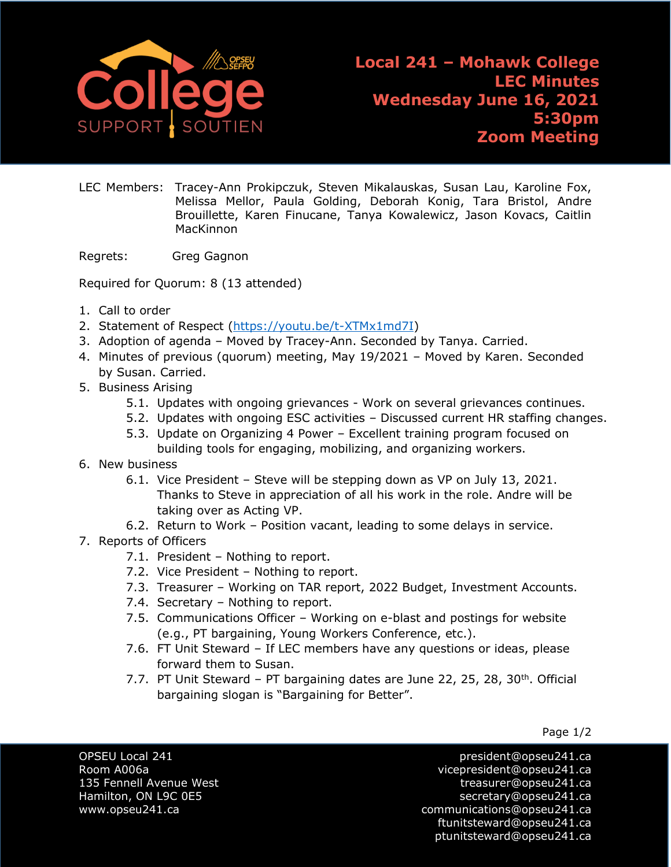

LEC Members: Tracey-Ann Prokipczuk, Steven Mikalauskas, Susan Lau, Karoline Fox, Melissa Mellor, Paula Golding, Deborah Konig, Tara Bristol, Andre Brouillette, Karen Finucane, Tanya Kowalewicz, Jason Kovacs, Caitlin MacKinnon

Regrets: Greg Gagnon

Required for Quorum: 8 (13 attended)

- 1. Call to order
- 2. [Statement of Respect](https://opseu.org/wp-content/uploads/2014/04/Statement-of-Respect-2019.pdf) [\(https://youtu.be/t-XTMx1md7I\)](https://youtu.be/t-XTMx1md7I)
- 3. Adoption of agenda Moved by Tracey-Ann. Seconded by Tanya. Carried.
- 4. Minutes of previous (quorum) meeting, May 19/2021 Moved by Karen. Seconded by Susan. Carried.
- 5. Business Arising
	- 5.1. Updates with ongoing grievances Work on several grievances continues.
	- 5.2. Updates with ongoing ESC activities Discussed current HR staffing changes.
	- 5.3. Update on Organizing 4 Power Excellent training program focused on building tools for engaging, mobilizing, and organizing workers.
- 6. New business
	- 6.1. Vice President Steve will be stepping down as VP on July 13, 2021. Thanks to Steve in appreciation of all his work in the role. Andre will be taking over as Acting VP.
	- 6.2. Return to Work Position vacant, leading to some delays in service.
- 7. Reports of Officers
	- 7.1. President Nothing to report.
	- 7.2. Vice President Nothing to report.
	- 7.3. Treasurer Working on TAR report, 2022 Budget, Investment Accounts.
	- 7.4. Secretary Nothing to report.
	- 7.5. Communications Officer Working on e-blast and postings for website (e.g., PT bargaining, Young Workers Conference, etc.).
	- 7.6. FT Unit Steward If LEC members have any questions or ideas, please forward them to Susan.
	- 7.7. PT Unit Steward PT bargaining dates are June 22, 25, 28, 30<sup>th</sup>. Official bargaining slogan is "Bargaining for Better".

Page 1/2

OPSEU Local 241 president@opseu241.ca Room A006a vicepresident@opseu241.ca 135 Fennell Avenue West [treasurer@opseu241.ca](mailto:treasurer@opseu241.ca) Hamilton, ON L9C 0E5 [secretary@opseu241.ca](mailto:secretary@opseu241.ca) www.opseu241.ca communications@opseu241.ca [ftunitsteward@opseu241.ca](mailto:ftunitsteward@opseu241.ca) ptunitsteward@opseu241.ca